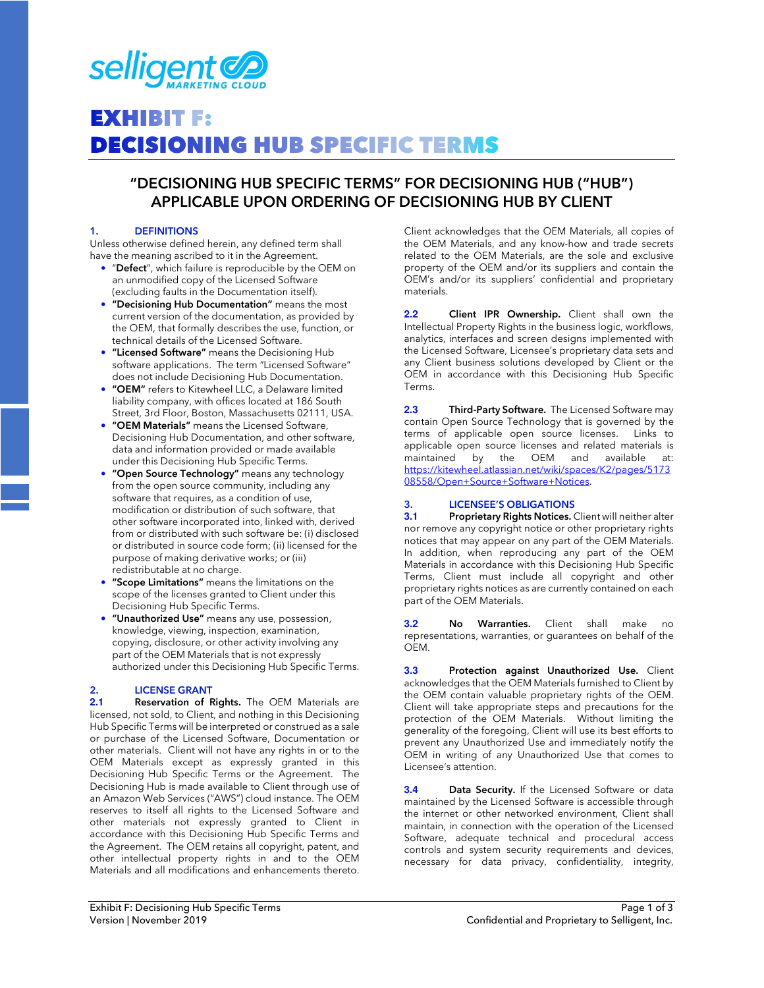

# **EXHIBIT F: DECISIONING HUB SPECIFIC TERMS**

### **"DECISIONING HUB SPECIFIC TERMS" FOR DECISIONING HUB ("HUB") APPLICABLE UPON ORDERING OF DECISIONING HUB BY CLIENT**

### **1. DEFINITIONS**

Unless otherwise defined herein, any defined term shall have the meaning ascribed to it in the Agreement.

- "**Defect**", which failure is reproducible by the OEM on an unmodified copy of the Licensed Software (excluding faults in the Documentation itself).
- **"Decisioning Hub Documentation"** means the most current version of the documentation, as provided by the OEM, that formally describes the use, function, or technical details of the Licensed Software.
- **"Licensed Software"** means the Decisioning Hub software applications. The term "Licensed Software" does not include Decisioning Hub Documentation.
- **"OEM"** refers to Kitewheel LLC, a Delaware limited liability company, with offices located at 186 South Street, 3rd Floor, Boston, Massachusetts 02111, USA.
- **"OEM Materials"** means the Licensed Software, Decisioning Hub Documentation, and other software, data and information provided or made available under this Decisioning Hub Specific Terms.
- **"Open Source Technology"** means any technology from the open source community, including any software that requires, as a condition of use, modification or distribution of such software, that other software incorporated into, linked with, derived from or distributed with such software be: (i) disclosed or distributed in source code form; (ii) licensed for the purpose of making derivative works; or (iii) redistributable at no charge.
- **"Scope Limitations"** means the limitations on the scope of the licenses granted to Client under this Decisioning Hub Specific Terms.
- **"Unauthorized Use"** means any use, possession, knowledge, viewing, inspection, examination, copying, disclosure, or other activity involving any part of the OEM Materials that is not expressly authorized under this Decisioning Hub Specific Terms.

### **2. LICENSE GRANT**

**2.1 Reservation of Rights.** The OEM Materials are licensed, not sold, to Client, and nothing in this Decisioning Hub Specific Terms will be interpreted or construed as a sale or purchase of the Licensed Software, Documentation or other materials. Client will not have any rights in or to the OEM Materials except as expressly granted in this Decisioning Hub Specific Terms or the Agreement. The Decisioning Hub is made available to Client through use of an Amazon Web Services ("AWS") cloud instance. The OEM reserves to itself all rights to the Licensed Software and other materials not expressly granted to Client in accordance with this Decisioning Hub Specific Terms and the Agreement. The OEM retains all copyright, patent, and other intellectual property rights in and to the OEM Materials and all modifications and enhancements thereto.

Client acknowledges that the OEM Materials, all copies of the OEM Materials, and any know-how and trade secrets related to the OEM Materials, are the sole and exclusive property of the OEM and/or its suppliers and contain the OEM's and/or its suppliers' confidential and proprietary materials.

**2.2 Client IPR Ownership.** Client shall own the Intellectual Property Rights in the business logic, workflows, analytics, interfaces and screen designs implemented with the Licensed Software, Licensee's proprietary data sets and any Client business solutions developed by Client or the OEM in accordance with this Decisioning Hub Specific Terms.

**2.3 Third-Party Software.** The Licensed Software may contain Open Source Technology that is governed by the terms of applicable open source licenses. Links to applicable open source licenses and related materials is maintained by the OEM and available at: https://kitewheel.atlassian.net/wiki/spaces/K2/pages/5173 08558/Open+Source+Software+Notices.

### **3. LICENSEE'S OBLIGATIONS**

**3.1 Proprietary Rights Notices.** Client will neither alter nor remove any copyright notice or other proprietary rights notices that may appear on any part of the OEM Materials. In addition, when reproducing any part of the OEM Materials in accordance with this Decisioning Hub Specific Terms, Client must include all copyright and other proprietary rights notices as are currently contained on each part of the OEM Materials.

**3.2 No Warranties.** Client shall make no representations, warranties, or guarantees on behalf of the OEM.

**3.3 Protection against Unauthorized Use.** Client acknowledges that the OEM Materials furnished to Client by the OEM contain valuable proprietary rights of the OEM. Client will take appropriate steps and precautions for the protection of the OEM Materials. Without limiting the generality of the foregoing, Client will use its best efforts to prevent any Unauthorized Use and immediately notify the OEM in writing of any Unauthorized Use that comes to Licensee's attention.

**3.4 Data Security.** If the Licensed Software or data maintained by the Licensed Software is accessible through the internet or other networked environment, Client shall maintain, in connection with the operation of the Licensed Software, adequate technical and procedural access controls and system security requirements and devices, necessary for data privacy, confidentiality, integrity,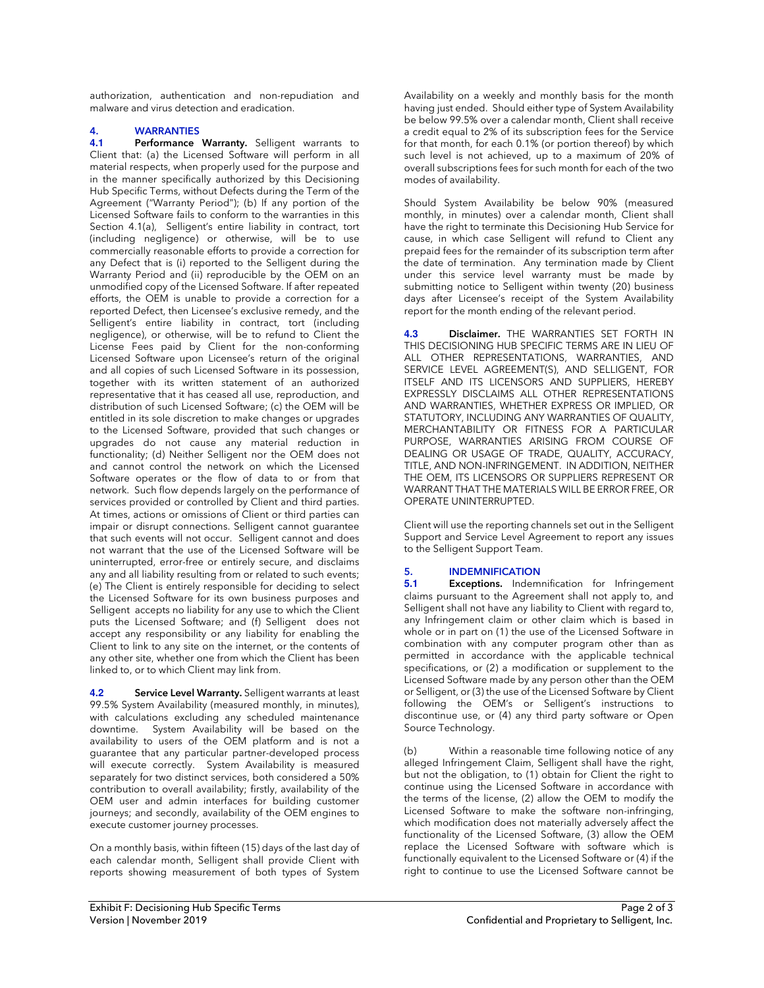authorization, authentication and non-repudiation and malware and virus detection and eradication.

### **4. WARRANTIES**

Performance Warranty. Selligent warrants to Client that: (a) the Licensed Software will perform in all material respects, when properly used for the purpose and in the manner specifically authorized by this Decisioning Hub Specific Terms, without Defects during the Term of the Agreement ("Warranty Period"); (b) If any portion of the Licensed Software fails to conform to the warranties in this Section 4.1(a), Selligent's entire liability in contract, tort (including negligence) or otherwise, will be to use commercially reasonable efforts to provide a correction for any Defect that is (i) reported to the Selligent during the Warranty Period and (ii) reproducible by the OEM on an unmodified copy of the Licensed Software. If after repeated efforts, the OEM is unable to provide a correction for a reported Defect, then Licensee's exclusive remedy, and the Selligent's entire liability in contract, tort (including negligence), or otherwise, will be to refund to Client the License Fees paid by Client for the non-conforming Licensed Software upon Licensee's return of the original and all copies of such Licensed Software in its possession, together with its written statement of an authorized representative that it has ceased all use, reproduction, and distribution of such Licensed Software; (c) the OEM will be entitled in its sole discretion to make changes or upgrades to the Licensed Software, provided that such changes or upgrades do not cause any material reduction in functionality; (d) Neither Selligent nor the OEM does not and cannot control the network on which the Licensed Software operates or the flow of data to or from that network. Such flow depends largely on the performance of services provided or controlled by Client and third parties. At times, actions or omissions of Client or third parties can impair or disrupt connections. Selligent cannot guarantee that such events will not occur. Selligent cannot and does not warrant that the use of the Licensed Software will be uninterrupted, error-free or entirely secure, and disclaims any and all liability resulting from or related to such events; (e) The Client is entirely responsible for deciding to select the Licensed Software for its own business purposes and Selligent accepts no liability for any use to which the Client puts the Licensed Software; and (f) Selligent does not accept any responsibility or any liability for enabling the Client to link to any site on the internet, or the contents of any other site, whether one from which the Client has been linked to, or to which Client may link from.

**4.2 Service Level Warranty.** Selligent warrants at least 99.5% System Availability (measured monthly, in minutes), with calculations excluding any scheduled maintenance downtime. System Availability will be based on the availability to users of the OEM platform and is not a guarantee that any particular partner-developed process will execute correctly. System Availability is measured separately for two distinct services, both considered a 50% contribution to overall availability; firstly, availability of the OEM user and admin interfaces for building customer journeys; and secondly, availability of the OEM engines to execute customer journey processes.

On a monthly basis, within fifteen (15) days of the last day of each calendar month, Selligent shall provide Client with reports showing measurement of both types of System Availability on a weekly and monthly basis for the month having just ended. Should either type of System Availability be below 99.5% over a calendar month, Client shall receive a credit equal to 2% of its subscription fees for the Service for that month, for each 0.1% (or portion thereof) by which such level is not achieved, up to a maximum of 20% of overall subscriptions fees for such month for each of the two modes of availability.

Should System Availability be below 90% (measured monthly, in minutes) over a calendar month, Client shall have the right to terminate this Decisioning Hub Service for cause, in which case Selligent will refund to Client any prepaid fees for the remainder of its subscription term after the date of termination. Any termination made by Client under this service level warranty must be made by submitting notice to Selligent within twenty (20) business days after Licensee's receipt of the System Availability report for the month ending of the relevant period.

**4.3 Disclaimer.** THE WARRANTIES SET FORTH IN THIS DECISIONING HUB SPECIFIC TERMS ARE IN LIEU OF ALL OTHER REPRESENTATIONS, WARRANTIES, AND SERVICE LEVEL AGREEMENT(S), AND SELLIGENT, FOR ITSELF AND ITS LICENSORS AND SUPPLIERS, HEREBY EXPRESSLY DISCLAIMS ALL OTHER REPRESENTATIONS AND WARRANTIES, WHETHER EXPRESS OR IMPLIED, OR STATUTORY, INCLUDING ANY WARRANTIES OF QUALITY, MERCHANTABILITY OR FITNESS FOR A PARTICULAR PURPOSE, WARRANTIES ARISING FROM COURSE OF DEALING OR USAGE OF TRADE, QUALITY, ACCURACY, TITLE, AND NON-INFRINGEMENT. IN ADDITION, NEITHER THE OEM, ITS LICENSORS OR SUPPLIERS REPRESENT OR WARRANT THAT THE MATERIALS WILL BE ERROR FREE, OR OPERATE UNINTERRUPTED.

Client will use the reporting channels set out in the Selligent Support and Service Level Agreement to report any issues to the Selligent Support Team.

## **5. INDEMNIFICATION**<br>**5.1 Exceptions.** Indem

**Exceptions.** Indemnification for Infringement claims pursuant to the Agreement shall not apply to, and Selligent shall not have any liability to Client with regard to, any Infringement claim or other claim which is based in whole or in part on (1) the use of the Licensed Software in combination with any computer program other than as permitted in accordance with the applicable technical specifications, or (2) a modification or supplement to the Licensed Software made by any person other than the OEM or Selligent, or (3) the use of the Licensed Software by Client following the OEM's or Selligent's instructions to discontinue use, or (4) any third party software or Open Source Technology.

(b) Within a reasonable time following notice of any alleged Infringement Claim, Selligent shall have the right, but not the obligation, to (1) obtain for Client the right to continue using the Licensed Software in accordance with the terms of the license, (2) allow the OEM to modify the Licensed Software to make the software non-infringing, which modification does not materially adversely affect the functionality of the Licensed Software, (3) allow the OEM replace the Licensed Software with software which is functionally equivalent to the Licensed Software or (4) if the right to continue to use the Licensed Software cannot be